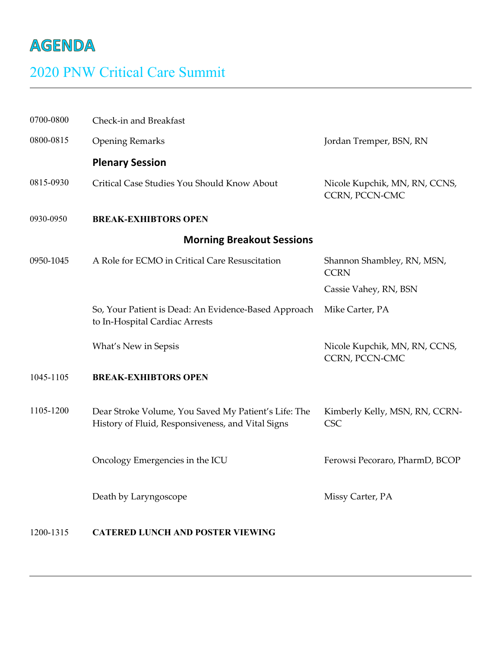## **AGENDA**

## 2020 PNW Critical Care Summit

| 0700-0800                        | Check-in and Breakfast                                                                                    |                                                        |  |  |
|----------------------------------|-----------------------------------------------------------------------------------------------------------|--------------------------------------------------------|--|--|
| 0800-0815                        | <b>Opening Remarks</b>                                                                                    | Jordan Tremper, BSN, RN                                |  |  |
|                                  | <b>Plenary Session</b>                                                                                    |                                                        |  |  |
| 0815-0930                        | Critical Case Studies You Should Know About                                                               | Nicole Kupchik, MN, RN, CCNS,<br><b>CCRN, PCCN-CMC</b> |  |  |
| 0930-0950                        | <b>BREAK-EXHIBTORS OPEN</b>                                                                               |                                                        |  |  |
| <b>Morning Breakout Sessions</b> |                                                                                                           |                                                        |  |  |
| 0950-1045                        | A Role for ECMO in Critical Care Resuscitation                                                            | Shannon Shambley, RN, MSN,<br><b>CCRN</b>              |  |  |
|                                  |                                                                                                           | Cassie Vahey, RN, BSN                                  |  |  |
|                                  | So, Your Patient is Dead: An Evidence-Based Approach<br>to In-Hospital Cardiac Arrests                    | Mike Carter, PA                                        |  |  |
|                                  | What's New in Sepsis                                                                                      | Nicole Kupchik, MN, RN, CCNS,<br>CCRN, PCCN-CMC        |  |  |
| 1045-1105                        | <b>BREAK-EXHIBTORS OPEN</b>                                                                               |                                                        |  |  |
| 1105-1200                        | Dear Stroke Volume, You Saved My Patient's Life: The<br>History of Fluid, Responsiveness, and Vital Signs | Kimberly Kelly, MSN, RN, CCRN-<br><b>CSC</b>           |  |  |
|                                  | Oncology Emergencies in the ICU                                                                           | Ferowsi Pecoraro, PharmD, BCOP                         |  |  |
|                                  | Death by Laryngoscope                                                                                     | Missy Carter, PA                                       |  |  |
|                                  |                                                                                                           |                                                        |  |  |

## 1200-1315 **CATERED LUNCH AND POSTER VIEWING**